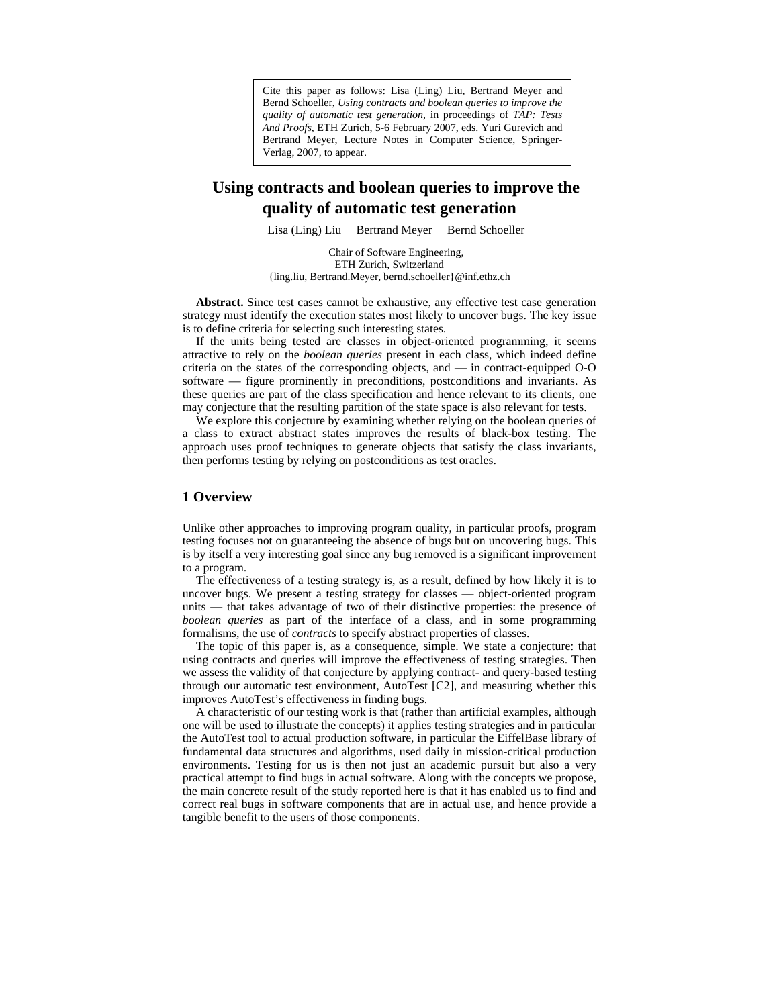Cite this paper as follows: Lisa (Ling) Liu, Bertrand Meyer and Bernd Schoeller, *Using contracts and boolean queries to improve the quality of automatic test generation*, in proceedings of *TAP: Tests And Proofs*, ETH Zurich, 5-6 February 2007, eds. Yuri Gurevich and Bertrand Meyer, Lecture Notes in Computer Science, Springer-Verlag, 2007, to appear.

# **Using contracts and boolean queries to improve the quality of automatic test generation**

Lisa (Ling) Liu Bertrand Meyer Bernd Schoeller

Chair of Software Engineering, ETH Zurich, Switzerland {ling.liu, Bertrand.Meyer, bernd.schoeller}@inf.ethz.ch

**Abstract.** Since test cases cannot be exhaustive, any effective test case generation strategy must identify the execution states most likely to uncover bugs. The key issue is to define criteria for selecting such interesting states.

If the units being tested are classes in object-oriented programming, it seems attractive to rely on the *boolean queries* present in each class, which indeed define criteria on the states of the corresponding objects, and — in contract-equipped O-O software — figure prominently in preconditions, postconditions and invariants. As these queries are part of the class specification and hence relevant to its clients, one may conjecture that the resulting partition of the state space is also relevant for tests.

We explore this conjecture by examining whether relying on the boolean queries of a class to extract abstract states improves the results of black-box testing. The approach uses proof techniques to generate objects that satisfy the class invariants, then performs testing by relying on postconditions as test oracles.

# **1 Overview**

Unlike other approaches to improving program quality, in particular proofs, program testing focuses not on guaranteeing the absence of bugs but on uncovering bugs. This is by itself a very interesting goal since any bug removed is a significant improvement to a program.

The effectiveness of a testing strategy is, as a result, defined by how likely it is to uncover bugs. We present a testing strategy for classes — object-oriented program units — that takes advantage of two of their distinctive properties: the presence of *boolean queries* as part of the interface of a class, and in some programming formalisms, the use of *contracts* to specify abstract properties of classes.

The topic of this paper is, as a consequence, simple. We state a conjecture: that using contracts and queries will improve the effectiveness of testing strategies. Then we assess the validity of that conjecture by applying contract- and query-based testing through our automatic test environment, AutoTest [C2], and measuring whether this improves AutoTest's effectiveness in finding bugs.

A characteristic of our testing work is that (rather than artificial examples, although one will be used to illustrate the concepts) it applies testing strategies and in particular the AutoTest tool to actual production software, in particular the EiffelBase library of fundamental data structures and algorithms, used daily in mission-critical production environments. Testing for us is then not just an academic pursuit but also a very practical attempt to find bugs in actual software. Along with the concepts we propose, the main concrete result of the study reported here is that it has enabled us to find and correct real bugs in software components that are in actual use, and hence provide a tangible benefit to the users of those components.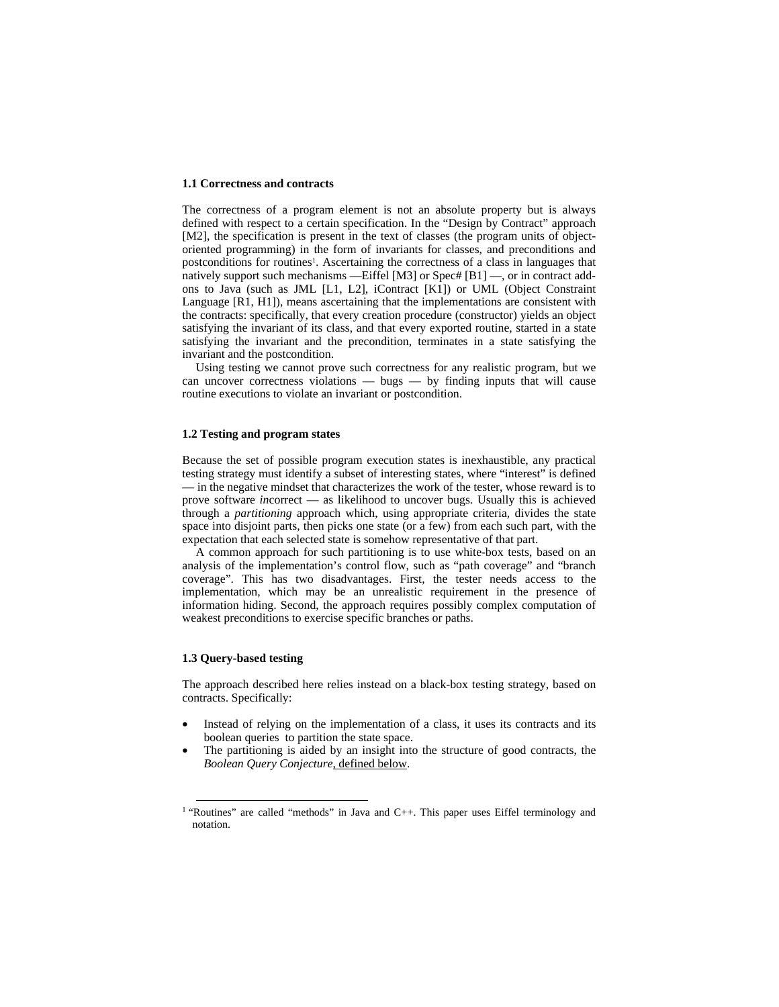#### **1.1 Correctness and contracts**

The correctness of a program element is not an absolute property but is always defined with respect to a certain specification. In the "Design by Contract" approach [M2], the specification is present in the text of classes (the program units of objectoriented programming) in the form of invariants for classes, and preconditions and postconditions for routines1. Ascertaining the correctness of a class in languages that natively support such mechanisms —Eiffel [M3] or Spec# [B1] —, or in contract addons to Java (such as JML [L1, L2], iContract [K1]) or UML (Object Constraint Language [R1, H1]), means ascertaining that the implementations are consistent with the contracts: specifically, that every creation procedure (constructor) yields an object satisfying the invariant of its class, and that every exported routine, started in a state satisfying the invariant and the precondition, terminates in a state satisfying the invariant and the postcondition.

Using testing we cannot prove such correctness for any realistic program, but we can uncover correctness violations — bugs — by finding inputs that will cause routine executions to violate an invariant or postcondition.

#### **1.2 Testing and program states**

Because the set of possible program execution states is inexhaustible, any practical testing strategy must identify a subset of interesting states, where "interest" is defined — in the negative mindset that characterizes the work of the tester, whose reward is to prove software *in*correct — as likelihood to uncover bugs. Usually this is achieved through a *partitioning* approach which, using appropriate criteria, divides the state space into disjoint parts, then picks one state (or a few) from each such part, with the expectation that each selected state is somehow representative of that part.

A common approach for such partitioning is to use white-box tests, based on an analysis of the implementation's control flow, such as "path coverage" and "branch coverage". This has two disadvantages. First, the tester needs access to the implementation, which may be an unrealistic requirement in the presence of information hiding. Second, the approach requires possibly complex computation of weakest preconditions to exercise specific branches or paths.

### **1.3 Query-based testing**

The approach described here relies instead on a black-box testing strategy, based on contracts. Specifically:

- Instead of relying on the implementation of a class, it uses its contracts and its boolean queries to partition the state space.
- The partitioning is aided by an insight into the structure of good contracts, the *Boolean Query Conjecture*, defined below.

 <sup>1</sup> "Routines" are called "methods" in Java and C++. This paper uses Eiffel terminology and notation.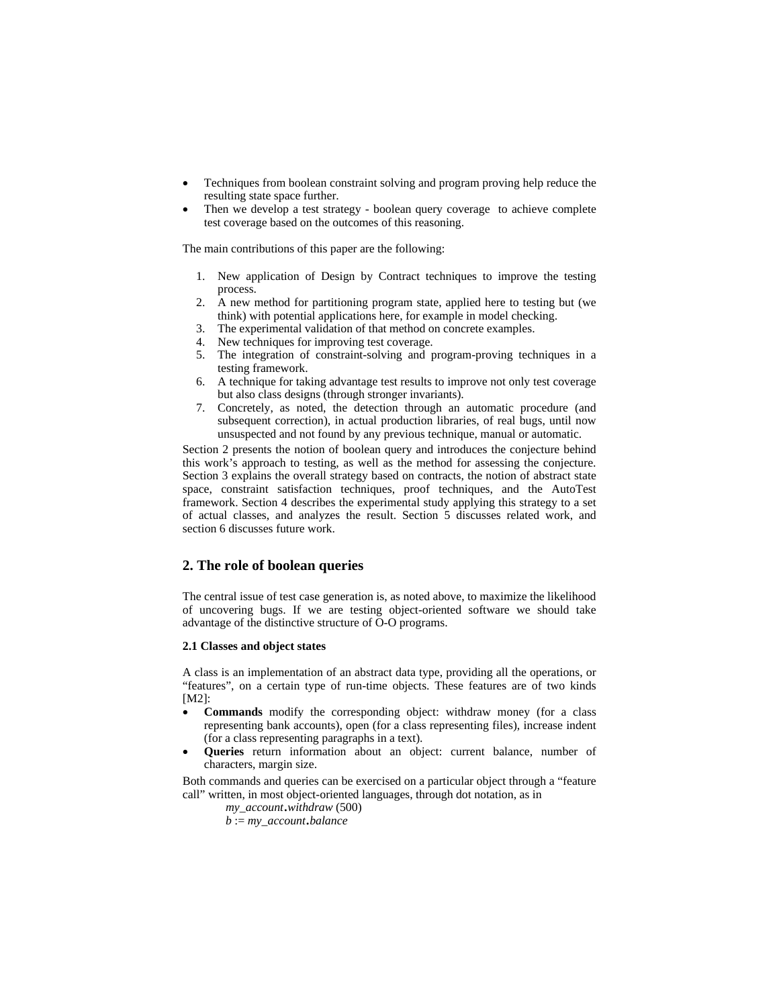- Techniques from boolean constraint solving and program proving help reduce the resulting state space further.
- Then we develop a test strategy boolean query coverage to achieve complete test coverage based on the outcomes of this reasoning.

The main contributions of this paper are the following:

- 1. New application of Design by Contract techniques to improve the testing process.
- 2. A new method for partitioning program state, applied here to testing but (we think) with potential applications here, for example in model checking.
- 3. The experimental validation of that method on concrete examples.
- New techniques for improving test coverage.
- 5. The integration of constraint-solving and program-proving techniques in a testing framework.
- 6. A technique for taking advantage test results to improve not only test coverage but also class designs (through stronger invariants).
- 7. Concretely, as noted, the detection through an automatic procedure (and subsequent correction), in actual production libraries, of real bugs, until now unsuspected and not found by any previous technique, manual or automatic.

Section 2 presents the notion of boolean query and introduces the conjecture behind this work's approach to testing, as well as the method for assessing the conjecture. Section 3 explains the overall strategy based on contracts, the notion of abstract state space, constraint satisfaction techniques, proof techniques, and the AutoTest framework. Section 4 describes the experimental study applying this strategy to a set of actual classes, and analyzes the result. Section 5 discusses related work, and section 6 discusses future work.

# **2. The role of boolean queries**

The central issue of test case generation is, as noted above, to maximize the likelihood of uncovering bugs. If we are testing object-oriented software we should take advantage of the distinctive structure of O-O programs.

#### **2.1 Classes and object states**

A class is an implementation of an abstract data type, providing all the operations, or "features", on a certain type of run-time objects. These features are of two kinds [M2]:

- **Commands** modify the corresponding object: withdraw money (for a class representing bank accounts), open (for a class representing files), increase indent (for a class representing paragraphs in a text).
- **Queries** return information about an object: current balance, number of characters, margin size.

Both commands and queries can be exercised on a particular object through a "feature call" written, in most object-oriented languages, through dot notation, as in

*my\_account*.*withdraw* (500)

*b* := *my\_account*.*balance*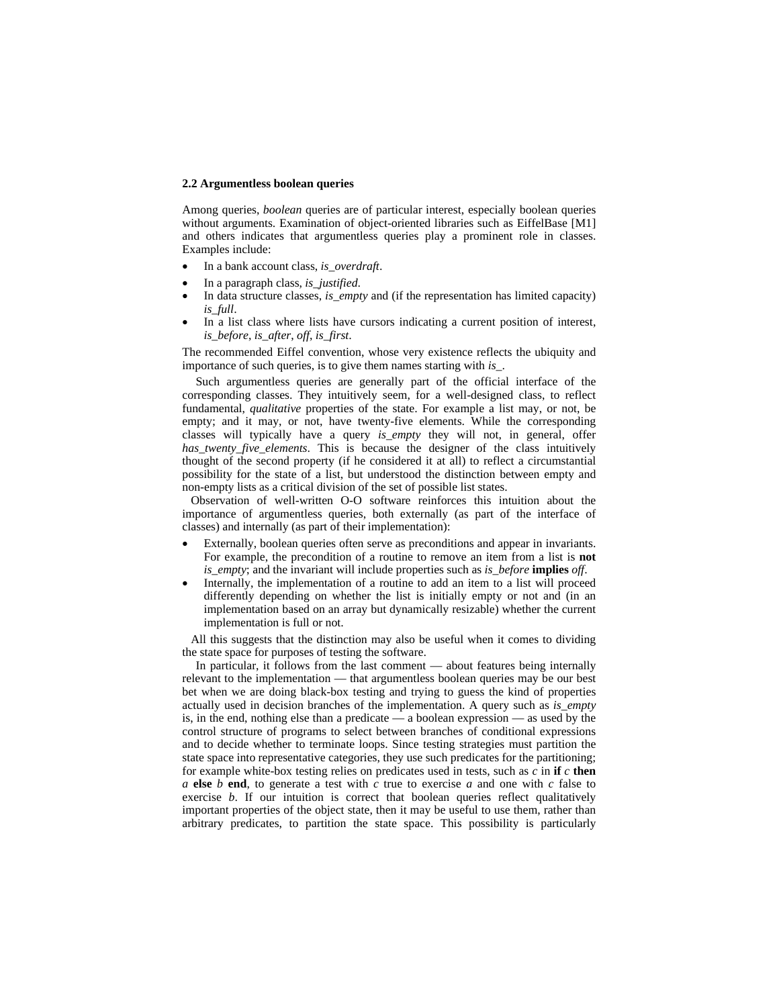#### **2.2 Argumentless boolean queries**

Among queries, *boolean* queries are of particular interest, especially boolean queries without arguments. Examination of object-oriented libraries such as EiffelBase [M1] and others indicates that argumentless queries play a prominent role in classes. Examples include:

- In a bank account class, *is\_overdraft*.
- In a paragraph class, *is\_justified*.
- In data structure classes, *is\_empty* and (if the representation has limited capacity) *is\_full*.
- In a list class where lists have cursors indicating a current position of interest, *is\_before*, *is\_after*, *off*, *is\_first*.

The recommended Eiffel convention, whose very existence reflects the ubiquity and importance of such queries, is to give them names starting with *is\_*.

Such argumentless queries are generally part of the official interface of the corresponding classes. They intuitively seem, for a well-designed class, to reflect fundamental, *qualitative* properties of the state. For example a list may, or not, be empty; and it may, or not, have twenty-five elements. While the corresponding classes will typically have a query *is\_empty* they will not, in general, offer *has\_twenty\_five\_elements*. This is because the designer of the class intuitively thought of the second property (if he considered it at all) to reflect a circumstantial possibility for the state of a list, but understood the distinction between empty and non-empty lists as a critical division of the set of possible list states.

Observation of well-written O-O software reinforces this intuition about the importance of argumentless queries, both externally (as part of the interface of classes) and internally (as part of their implementation):

- Externally, boolean queries often serve as preconditions and appear in invariants. For example, the precondition of a routine to remove an item from a list is **not** *is\_empty*; and the invariant will include properties such as *is\_before* **implies** *off*.
- Internally, the implementation of a routine to add an item to a list will proceed differently depending on whether the list is initially empty or not and (in an implementation based on an array but dynamically resizable) whether the current implementation is full or not.

All this suggests that the distinction may also be useful when it comes to dividing the state space for purposes of testing the software.

In particular, it follows from the last comment — about features being internally relevant to the implementation — that argumentless boolean queries may be our best bet when we are doing black-box testing and trying to guess the kind of properties actually used in decision branches of the implementation. A query such as *is\_empty* is, in the end, nothing else than a predicate — a boolean expression — as used by the control structure of programs to select between branches of conditional expressions and to decide whether to terminate loops. Since testing strategies must partition the state space into representative categories, they use such predicates for the partitioning; for example white-box testing relies on predicates used in tests, such as *c* in **if** *c* **then** *a* **else** *b* **end**, to generate a test with *c* true to exercise *a* and one with *c* false to exercise *b*. If our intuition is correct that boolean queries reflect qualitatively important properties of the object state, then it may be useful to use them, rather than arbitrary predicates, to partition the state space. This possibility is particularly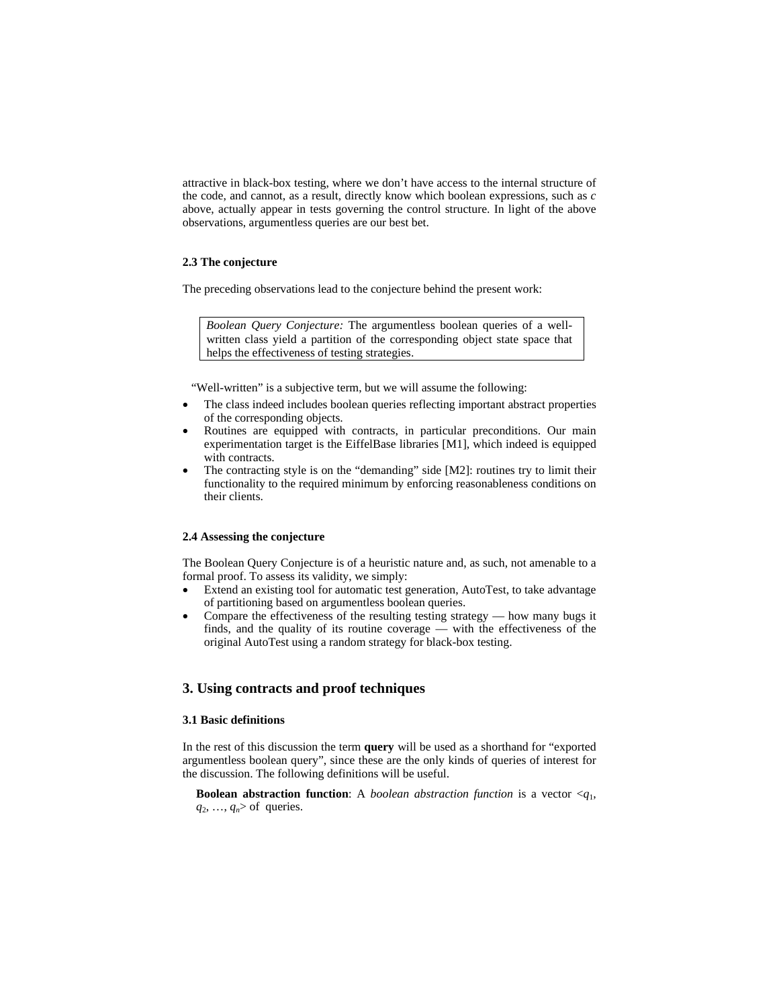attractive in black-box testing, where we don't have access to the internal structure of the code, and cannot, as a result, directly know which boolean expressions, such as *c*  above, actually appear in tests governing the control structure. In light of the above observations, argumentless queries are our best bet.

#### **2.3 The conjecture**

The preceding observations lead to the conjecture behind the present work:

*Boolean Query Conjecture:* The argumentless boolean queries of a wellwritten class yield a partition of the corresponding object state space that helps the effectiveness of testing strategies.

"Well-written" is a subjective term, but we will assume the following:

- The class indeed includes boolean queries reflecting important abstract properties of the corresponding objects.
- Routines are equipped with contracts, in particular preconditions. Our main experimentation target is the EiffelBase libraries [M1], which indeed is equipped with contracts.
- The contracting style is on the "demanding" side [M2]: routines try to limit their functionality to the required minimum by enforcing reasonableness conditions on their clients.

### **2.4 Assessing the conjecture**

The Boolean Query Conjecture is of a heuristic nature and, as such, not amenable to a formal proof. To assess its validity, we simply:

- Extend an existing tool for automatic test generation, AutoTest, to take advantage of partitioning based on argumentless boolean queries.
- Compare the effectiveness of the resulting testing strategy how many bugs it finds, and the quality of its routine coverage — with the effectiveness of the original AutoTest using a random strategy for black-box testing.

# **3. Using contracts and proof techniques**

# **3.1 Basic definitions**

In the rest of this discussion the term **query** will be used as a shorthand for "exported argumentless boolean query", since these are the only kinds of queries of interest for the discussion. The following definitions will be useful.

**Boolean abstraction function**: A *boolean abstraction function* is a vector  $\langle q_1, q_2 \rangle$  $q_2, \ldots, q_n$ > of queries.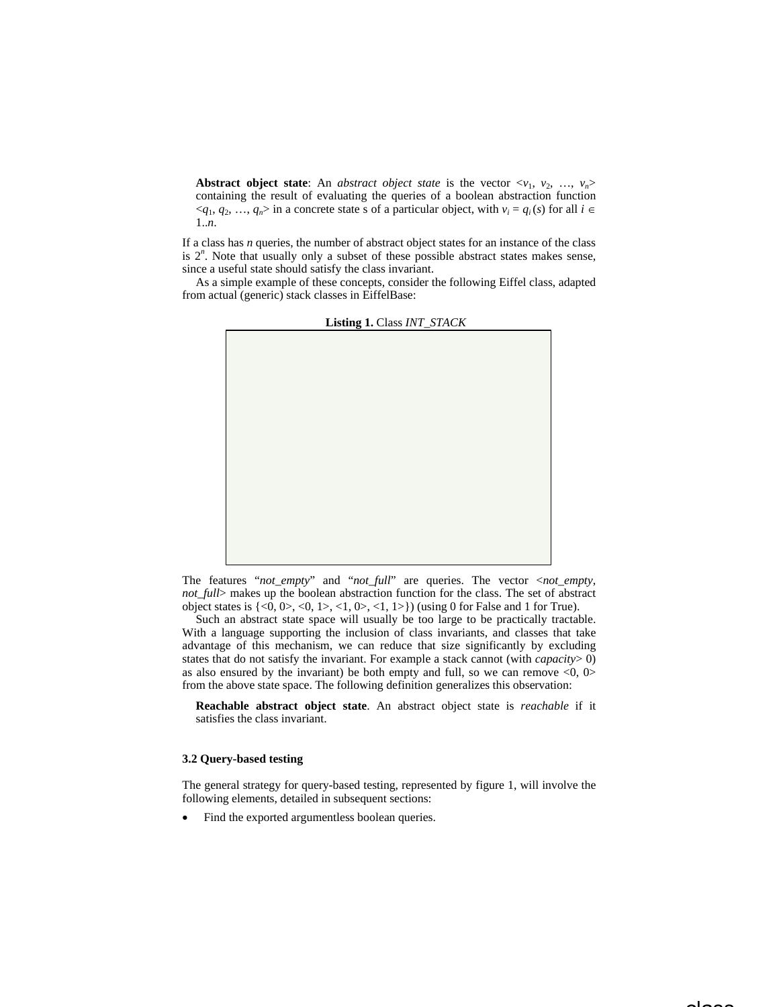**Abstract object state:** An *abstract object state* is the vector  $\langle v_1, v_2, ..., v_n \rangle$ containing the result of evaluating the queries of a boolean abstraction function  $\langle q_1, q_2, \ldots, q_n \rangle$  in a concrete state s of a particular object, with  $v_i = q_i(s)$  for all  $i \in$ 1..*n*.

If a class has *n* queries, the number of abstract object states for an instance of the class is  $2^n$ . Note that usually only a subset of these possible abstract states makes sense, since a useful state should satisfy the class invariant.

As a simple example of these concepts, consider the following Eiffel class, adapted from actual (generic) stack classes in EiffelBase:





The features "*not\_empty*" and "*not\_full*" are queries. The vector <*not\_empty*, *not\_full*> makes up the boolean abstraction function for the class. The set of abstract object states is  $\{\langle 0, 0 \rangle, \langle 0, 1 \rangle, \langle 1, 0 \rangle, \langle 1, 1 \rangle\}$  (using 0 for False and 1 for True).

Such an abstract state space will usually be too large to be practically tractable. With a language supporting the inclusion of class invariants, and classes that take advantage of this mechanism, we can reduce that size significantly by excluding states that do not satisfy the invariant. For example a stack cannot (with *capacity*> 0) as also ensured by the invariant) be both empty and full, so we can remove  $\langle 0, 0 \rangle$ from the above state space. The following definition generalizes this observation:

**Reachable abstract object state**. An abstract object state is *reachable* if it satisfies the class invariant.

#### **3.2 Query-based testing**

The general strategy for query-based testing, represented by figure 1, will involve the following elements, detailed in subsequent sections:

• Find the exported argumentless boolean queries.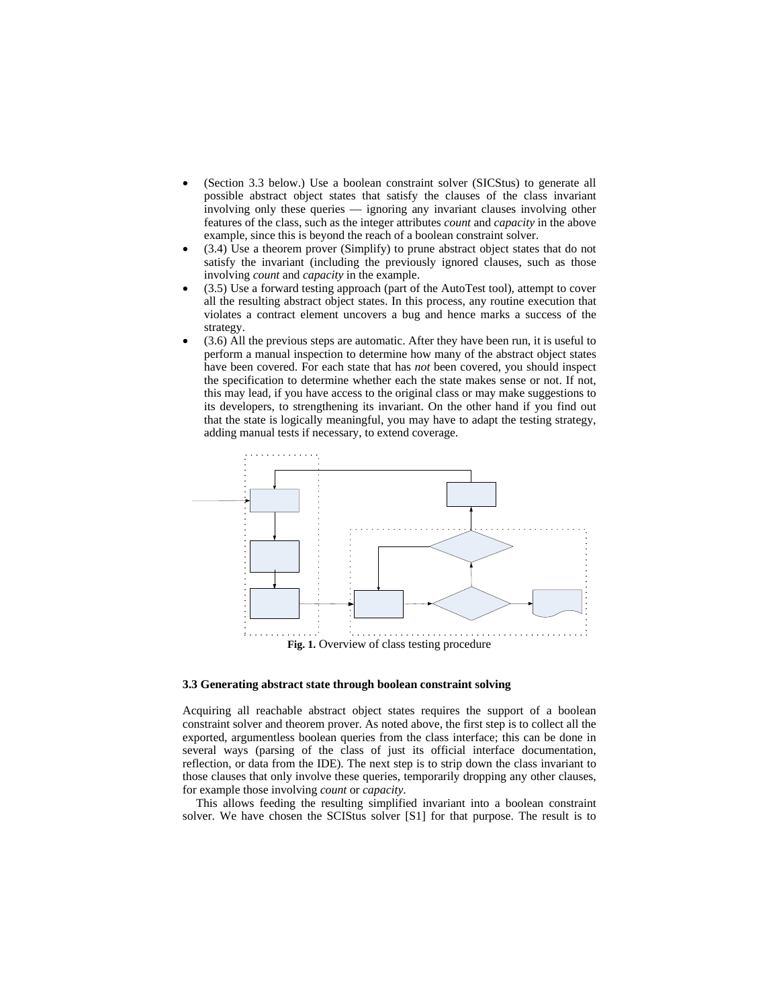- (Section 3.3 below.) Use a boolean constraint solver (SICStus) to generate all possible abstract object states that satisfy the clauses of the class invariant involving only these queries — ignoring any invariant clauses involving other features of the class, such as the integer attributes *count* and *capacity* in the above example, since this is beyond the reach of a boolean constraint solver.
- (3.4) Use a theorem prover (Simplify) to prune abstract object states that do not satisfy the invariant (including the previously ignored clauses, such as those involving *count* and *capacity* in the example.
- (3.5) Use a forward testing approach (part of the AutoTest tool), attempt to cover all the resulting abstract object states. In this process, any routine execution that violates a contract element uncovers a bug and hence marks a success of the strategy.
- (3.6) All the previous steps are automatic. After they have been run, it is useful to perform a manual inspection to determine how many of the abstract object states have been covered. For each state that has *not* been covered, you should inspect the specification to determine whether each the state makes sense or not. If not, this may lead, if you have access to the original class or may make suggestions to its developers, to strengthening its invariant. On the other hand if you find out that the state is logically meaningful, you may have to adapt the testing strategy, adding manual tests if necessary, to extend coverage.



#### **3.3 Generating abstract state through boolean constraint solving**

Acquiring all reachable abstract object states requires the support of a boolean constraint solver and theorem prover. As noted above, the first step is to collect all the exported, argumentless boolean queries from the class interface; this can be done in several ways (parsing of the class of just its official interface documentation, reflection, or data from the IDE). The next step is to strip down the class invariant to those clauses that only involve these queries, temporarily dropping any other clauses, for example those involving *count* or *capacity*.

This allows feeding the resulting simplified invariant into a boolean constraint solver. We have chosen the SCIStus solver [S1] for that purpose. The result is to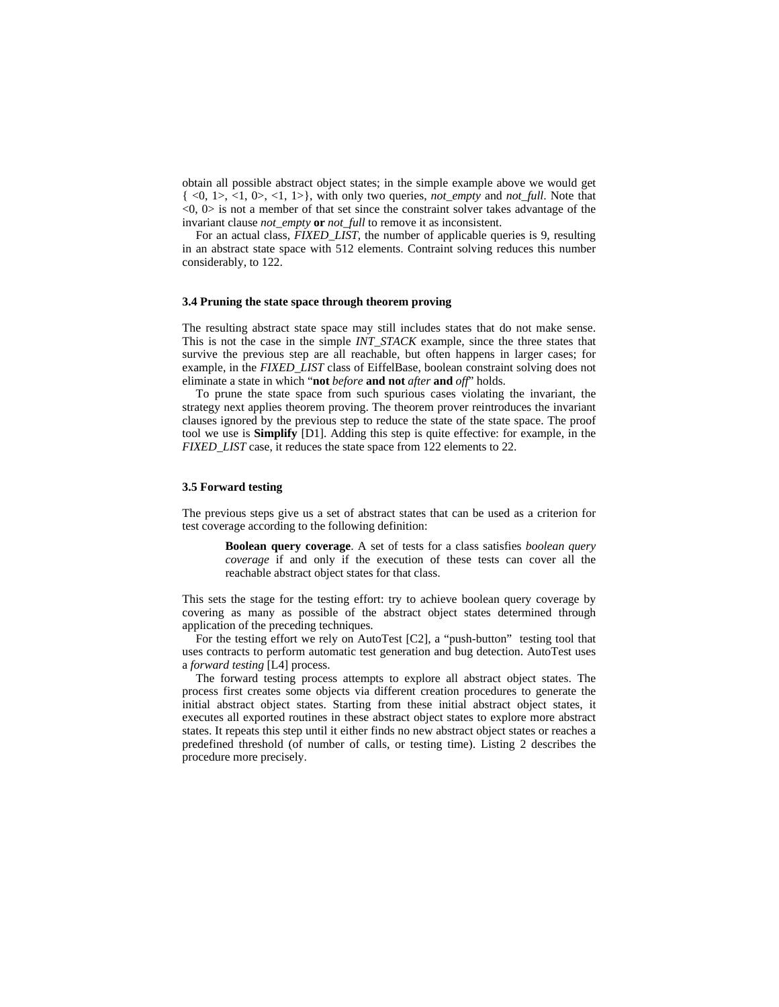obtain all possible abstract object states; in the simple example above we would get { <0, 1>, <1, 0>, <1, 1>}, with only two queries, *not\_empty* and *not\_full*. Note that  $\langle 0, 0 \rangle$  is not a member of that set since the constraint solver takes advantage of the invariant clause *not\_empty* **or** *not\_full* to remove it as inconsistent.

For an actual class, *FIXED\_LIST*, the number of applicable queries is 9, resulting in an abstract state space with 512 elements. Contraint solving reduces this number considerably, to 122.

#### **3.4 Pruning the state space through theorem proving**

The resulting abstract state space may still includes states that do not make sense. This is not the case in the simple *INT\_STACK* example, since the three states that survive the previous step are all reachable, but often happens in larger cases; for example, in the *FIXED\_LIST* class of EiffelBase, boolean constraint solving does not eliminate a state in which "**not** *before* **and not** *after* **and** *off*" holds.

To prune the state space from such spurious cases violating the invariant, the strategy next applies theorem proving. The theorem prover reintroduces the invariant clauses ignored by the previous step to reduce the state of the state space. The proof tool we use is **Simplify** [D1]. Adding this step is quite effective: for example, in the *FIXED\_LIST* case, it reduces the state space from 122 elements to 22.

#### **3.5 Forward testing**

The previous steps give us a set of abstract states that can be used as a criterion for test coverage according to the following definition:

> **Boolean query coverage**. A set of tests for a class satisfies *boolean query coverage* if and only if the execution of these tests can cover all the reachable abstract object states for that class.

This sets the stage for the testing effort: try to achieve boolean query coverage by covering as many as possible of the abstract object states determined through application of the preceding techniques.

For the testing effort we rely on AutoTest [C2], a "push-button" testing tool that uses contracts to perform automatic test generation and bug detection. AutoTest uses a *forward testing* [L4] process.

The forward testing process attempts to explore all abstract object states. The process first creates some objects via different creation procedures to generate the initial abstract object states. Starting from these initial abstract object states, it executes all exported routines in these abstract object states to explore more abstract states. It repeats this step until it either finds no new abstract object states or reaches a predefined threshold (of number of calls, or testing time). Listing 2 describes the procedure more precisely.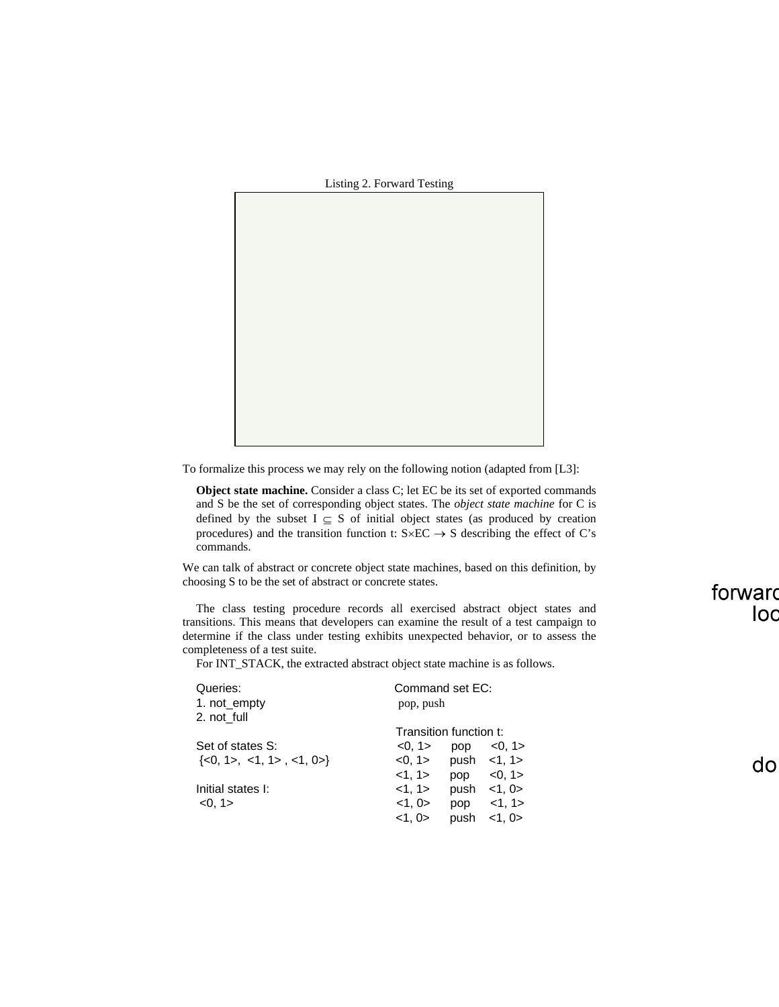Listing 2. Forward Testing



To formalize this process we may rely on the following notion (adapted from [L3]:

**Object state machine.** Consider a class C; let EC be its set of exported commands and S be the set of corresponding object states. The *object state machine* for C is defined by the subset  $I \subseteq S$  of initial object states (as produced by creation procedures) and the transition function t:  $S \times EC \rightarrow S$  describing the effect of C's commands.

We can talk of abstract or concrete object state machines, based on this definition, by choosing S to be the set of abstract or concrete states.

The class testing procedure records all exercised abstract object states and transitions. This means that developers can examine the result of a test campaign to determine if the class under testing exhibits unexpected behavior, or to assess the completeness of a test suite.

For INT\_STACK, the extracted abstract object state machine is as follows.

| Queries:<br>1. not_empty<br>2. not full |                        | Command set EC:<br>pop, push |         |  |
|-----------------------------------------|------------------------|------------------------------|---------|--|
|                                         | Transition function t: |                              |         |  |
| Set of states S:                        | $<$ 0, 1>              | pop                          | < 0, 1> |  |
| $\{<0, 1>, <1, 1>, <1, 0>\}$            | < 0, 1 >               | push                         | <1, 1>  |  |
|                                         | <1, 1>                 | pop                          | < 0, 1> |  |
| Initial states I:                       | <1, 1>                 | push                         | <1,0>   |  |
| < 0, 1>                                 | <1,0>                  | pop                          | <1, 1>  |  |
|                                         | <1.0>                  | push                         | <1,0>   |  |

# forward loc

do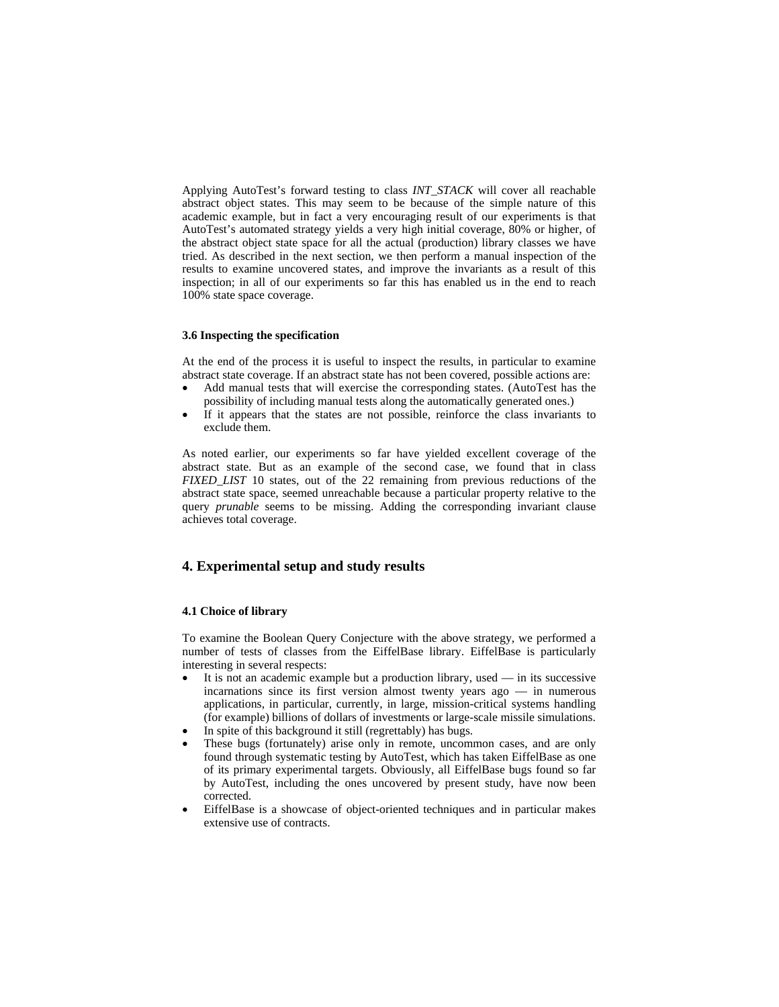Applying AutoTest's forward testing to class *INT\_STACK* will cover all reachable abstract object states. This may seem to be because of the simple nature of this academic example, but in fact a very encouraging result of our experiments is that AutoTest's automated strategy yields a very high initial coverage, 80% or higher, of the abstract object state space for all the actual (production) library classes we have tried. As described in the next section, we then perform a manual inspection of the results to examine uncovered states, and improve the invariants as a result of this inspection; in all of our experiments so far this has enabled us in the end to reach 100% state space coverage.

#### **3.6 Inspecting the specification**

At the end of the process it is useful to inspect the results, in particular to examine abstract state coverage. If an abstract state has not been covered, possible actions are:

- Add manual tests that will exercise the corresponding states. (AutoTest has the possibility of including manual tests along the automatically generated ones.)
- If it appears that the states are not possible, reinforce the class invariants to exclude them.

As noted earlier, our experiments so far have yielded excellent coverage of the abstract state. But as an example of the second case, we found that in class *FIXED\_LIST* 10 states, out of the 22 remaining from previous reductions of the abstract state space, seemed unreachable because a particular property relative to the query *prunable* seems to be missing. Adding the corresponding invariant clause achieves total coverage.

# **4. Experimental setup and study results**

#### **4.1 Choice of library**

To examine the Boolean Query Conjecture with the above strategy, we performed a number of tests of classes from the EiffelBase library. EiffelBase is particularly interesting in several respects:

- It is not an academic example but a production library, used  $-$  in its successive incarnations since its first version almost twenty years ago — in numerous applications, in particular, currently, in large, mission-critical systems handling (for example) billions of dollars of investments or large-scale missile simulations.
- In spite of this background it still (regrettably) has bugs.
- These bugs (fortunately) arise only in remote, uncommon cases, and are only found through systematic testing by AutoTest, which has taken EiffelBase as one of its primary experimental targets. Obviously, all EiffelBase bugs found so far by AutoTest, including the ones uncovered by present study, have now been corrected.
- EiffelBase is a showcase of object-oriented techniques and in particular makes extensive use of contracts.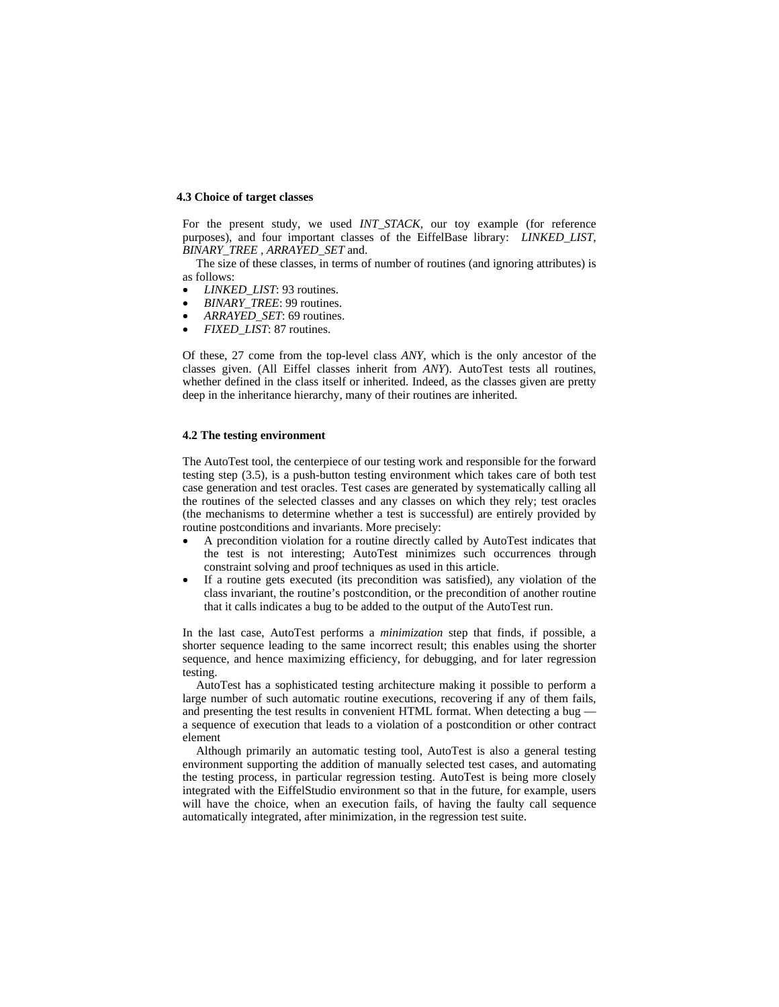#### **4.3 Choice of target classes**

For the present study, we used *INT\_STACK*, our toy example (for reference purposes), and four important classes of the EiffelBase library: *LINKED\_LIST*, *BINARY\_TREE , ARRAYED\_SET* and.

The size of these classes, in terms of number of routines (and ignoring attributes) is as follows:

- *LINKED\_LIST*: 93 routines.
- *BINARY\_TREE*: 99 routines.
- *ARRAYED\_SET*: 69 routines.
- *FIXED\_LIST*: 87 routines.

Of these, 27 come from the top-level class *ANY*, which is the only ancestor of the classes given. (All Eiffel classes inherit from *ANY*). AutoTest tests all routines, whether defined in the class itself or inherited. Indeed, as the classes given are pretty deep in the inheritance hierarchy, many of their routines are inherited.

#### **4.2 The testing environment**

The AutoTest tool, the centerpiece of our testing work and responsible for the forward testing step (3.5), is a push-button testing environment which takes care of both test case generation and test oracles. Test cases are generated by systematically calling all the routines of the selected classes and any classes on which they rely; test oracles (the mechanisms to determine whether a test is successful) are entirely provided by routine postconditions and invariants. More precisely:

- A precondition violation for a routine directly called by AutoTest indicates that the test is not interesting; AutoTest minimizes such occurrences through constraint solving and proof techniques as used in this article.
- If a routine gets executed (its precondition was satisfied), any violation of the class invariant, the routine's postcondition, or the precondition of another routine that it calls indicates a bug to be added to the output of the AutoTest run.

In the last case, AutoTest performs a *minimization* step that finds, if possible, a shorter sequence leading to the same incorrect result; this enables using the shorter sequence, and hence maximizing efficiency, for debugging, and for later regression testing.

AutoTest has a sophisticated testing architecture making it possible to perform a large number of such automatic routine executions, recovering if any of them fails, and presenting the test results in convenient HTML format. When detecting a bug a sequence of execution that leads to a violation of a postcondition or other contract element

Although primarily an automatic testing tool, AutoTest is also a general testing environment supporting the addition of manually selected test cases, and automating the testing process, in particular regression testing. AutoTest is being more closely integrated with the EiffelStudio environment so that in the future, for example, users will have the choice, when an execution fails, of having the faulty call sequence automatically integrated, after minimization, in the regression test suite.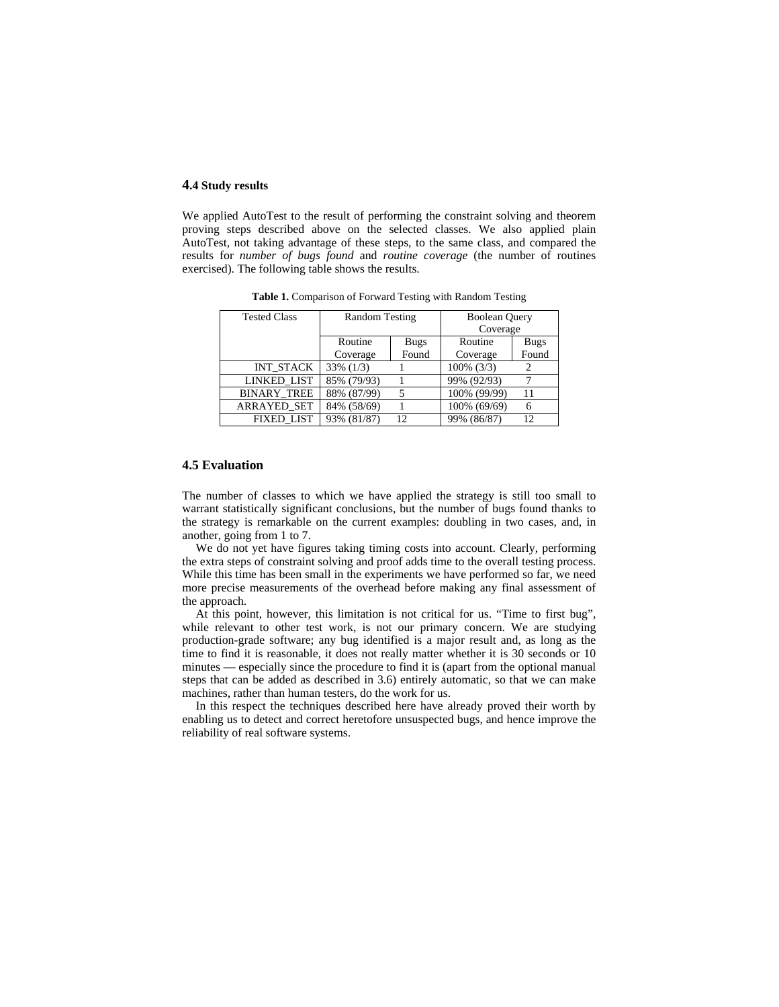#### **4.4 Study results**

We applied AutoTest to the result of performing the constraint solving and theorem proving steps described above on the selected classes. We also applied plain AutoTest, not taking advantage of these steps, to the same class, and compared the results for *number of bugs found* and *routine coverage* (the number of routines exercised). The following table shows the results.

| <b>Tested Class</b> | <b>Random Testing</b> |             | <b>Boolean Query</b> |             |
|---------------------|-----------------------|-------------|----------------------|-------------|
|                     |                       |             | Coverage             |             |
|                     | Routine               | <b>Bugs</b> | Routine              | <b>Bugs</b> |
|                     | Coverage              | Found       | Coverage             | Found       |
| <b>INT STACK</b>    | $33\%$ (1/3)          |             | $100\%$ (3/3)        |             |
| <b>LINKED LIST</b>  | 85% (79/93)           |             | 99% (92/93)          |             |
| <b>BINARY TREE</b>  | 88% (87/99)           |             | 100% (99/99)         | 11          |
| <b>ARRAYED SET</b>  | 84% (58/69)           |             | 100% (69/69)         | 6           |
| <b>FIXED LIST</b>   | 93% (81/87)           | 12          | 99% (86/87)          | 12          |

**Table 1.** Comparison of Forward Testing with Random Testing

# **4.5 Evaluation**

The number of classes to which we have applied the strategy is still too small to warrant statistically significant conclusions, but the number of bugs found thanks to the strategy is remarkable on the current examples: doubling in two cases, and, in another, going from 1 to 7.

We do not yet have figures taking timing costs into account. Clearly, performing the extra steps of constraint solving and proof adds time to the overall testing process. While this time has been small in the experiments we have performed so far, we need more precise measurements of the overhead before making any final assessment of the approach.

At this point, however, this limitation is not critical for us. "Time to first bug", while relevant to other test work, is not our primary concern. We are studying production-grade software; any bug identified is a major result and, as long as the time to find it is reasonable, it does not really matter whether it is 30 seconds or 10 minutes — especially since the procedure to find it is (apart from the optional manual steps that can be added as described in 3.6) entirely automatic, so that we can make machines, rather than human testers, do the work for us.

In this respect the techniques described here have already proved their worth by enabling us to detect and correct heretofore unsuspected bugs, and hence improve the reliability of real software systems.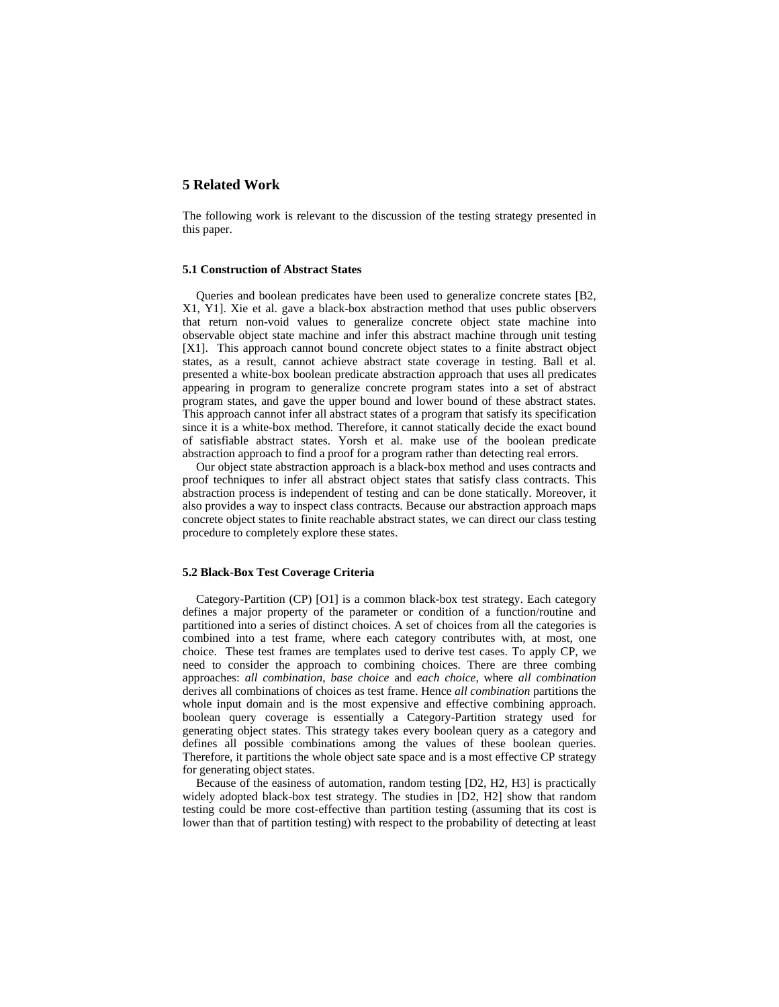# **5 Related Work**

The following work is relevant to the discussion of the testing strategy presented in this paper.

#### **5.1 Construction of Abstract States**

Queries and boolean predicates have been used to generalize concrete states [B2, X1, Y1]. Xie et al. gave a black-box abstraction method that uses public observers that return non-void values to generalize concrete object state machine into observable object state machine and infer this abstract machine through unit testing [X1]. This approach cannot bound concrete object states to a finite abstract object states, as a result, cannot achieve abstract state coverage in testing. Ball et al. presented a white-box boolean predicate abstraction approach that uses all predicates appearing in program to generalize concrete program states into a set of abstract program states, and gave the upper bound and lower bound of these abstract states. This approach cannot infer all abstract states of a program that satisfy its specification since it is a white-box method. Therefore, it cannot statically decide the exact bound of satisfiable abstract states. Yorsh et al. make use of the boolean predicate abstraction approach to find a proof for a program rather than detecting real errors.

Our object state abstraction approach is a black-box method and uses contracts and proof techniques to infer all abstract object states that satisfy class contracts. This abstraction process is independent of testing and can be done statically. Moreover, it also provides a way to inspect class contracts. Because our abstraction approach maps concrete object states to finite reachable abstract states, we can direct our class testing procedure to completely explore these states.

#### **5.2 Black-Box Test Coverage Criteria**

Category-Partition (CP) [O1] is a common black-box test strategy. Each category defines a major property of the parameter or condition of a function/routine and partitioned into a series of distinct choices. A set of choices from all the categories is combined into a test frame, where each category contributes with, at most, one choice. These test frames are templates used to derive test cases. To apply CP, we need to consider the approach to combining choices. There are three combing approaches: *all combination*, *base choice* and *each choice*, where *all combination* derives all combinations of choices as test frame. Hence *all combination* partitions the whole input domain and is the most expensive and effective combining approach. boolean query coverage is essentially a Category-Partition strategy used for generating object states. This strategy takes every boolean query as a category and defines all possible combinations among the values of these boolean queries. Therefore, it partitions the whole object sate space and is a most effective CP strategy for generating object states.

Because of the easiness of automation, random testing [D2, H2, H3] is practically widely adopted black-box test strategy. The studies in [D2, H2] show that random testing could be more cost-effective than partition testing (assuming that its cost is lower than that of partition testing) with respect to the probability of detecting at least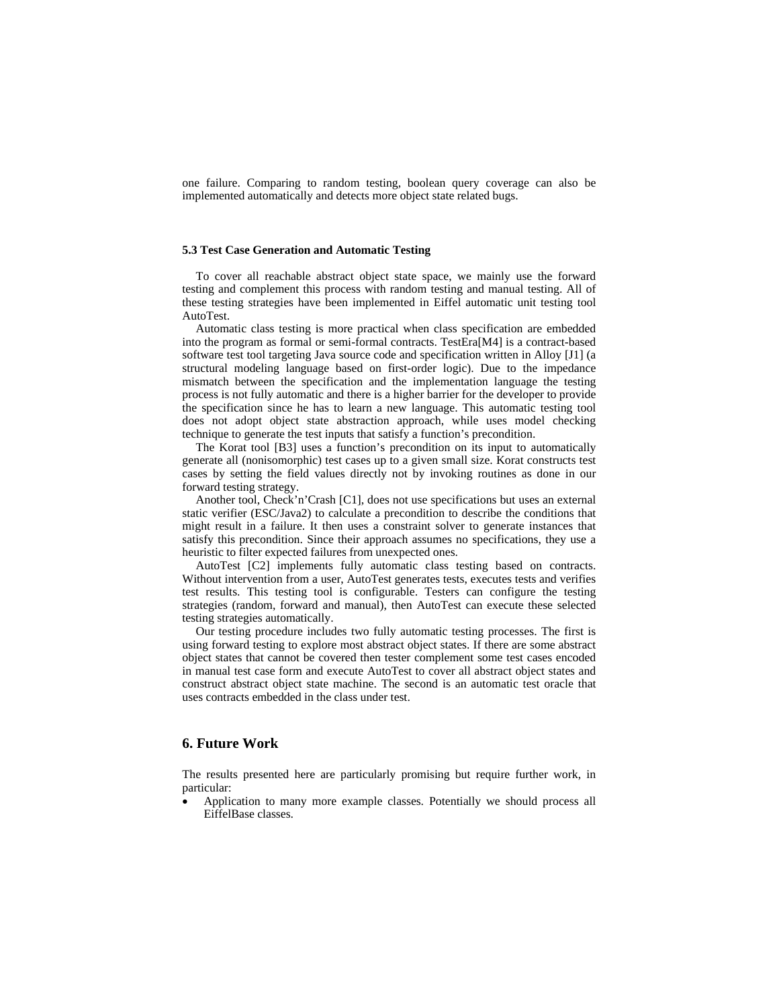one failure. Comparing to random testing, boolean query coverage can also be implemented automatically and detects more object state related bugs.

#### **5.3 Test Case Generation and Automatic Testing**

To cover all reachable abstract object state space, we mainly use the forward testing and complement this process with random testing and manual testing. All of these testing strategies have been implemented in Eiffel automatic unit testing tool AutoTest.

Automatic class testing is more practical when class specification are embedded into the program as formal or semi-formal contracts. TestEra[M4] is a contract-based software test tool targeting Java source code and specification written in Alloy [J1] (a structural modeling language based on first-order logic). Due to the impedance mismatch between the specification and the implementation language the testing process is not fully automatic and there is a higher barrier for the developer to provide the specification since he has to learn a new language. This automatic testing tool does not adopt object state abstraction approach, while uses model checking technique to generate the test inputs that satisfy a function's precondition.

The Korat tool [B3] uses a function's precondition on its input to automatically generate all (nonisomorphic) test cases up to a given small size. Korat constructs test cases by setting the field values directly not by invoking routines as done in our forward testing strategy.

Another tool, Check'n'Crash [C1], does not use specifications but uses an external static verifier (ESC/Java2) to calculate a precondition to describe the conditions that might result in a failure. It then uses a constraint solver to generate instances that satisfy this precondition. Since their approach assumes no specifications, they use a heuristic to filter expected failures from unexpected ones.

AutoTest [C2] implements fully automatic class testing based on contracts. Without intervention from a user, AutoTest generates tests, executes tests and verifies test results. This testing tool is configurable. Testers can configure the testing strategies (random, forward and manual), then AutoTest can execute these selected testing strategies automatically.

Our testing procedure includes two fully automatic testing processes. The first is using forward testing to explore most abstract object states. If there are some abstract object states that cannot be covered then tester complement some test cases encoded in manual test case form and execute AutoTest to cover all abstract object states and construct abstract object state machine. The second is an automatic test oracle that uses contracts embedded in the class under test.

# **6. Future Work**

The results presented here are particularly promising but require further work, in particular:

• Application to many more example classes. Potentially we should process all EiffelBase classes.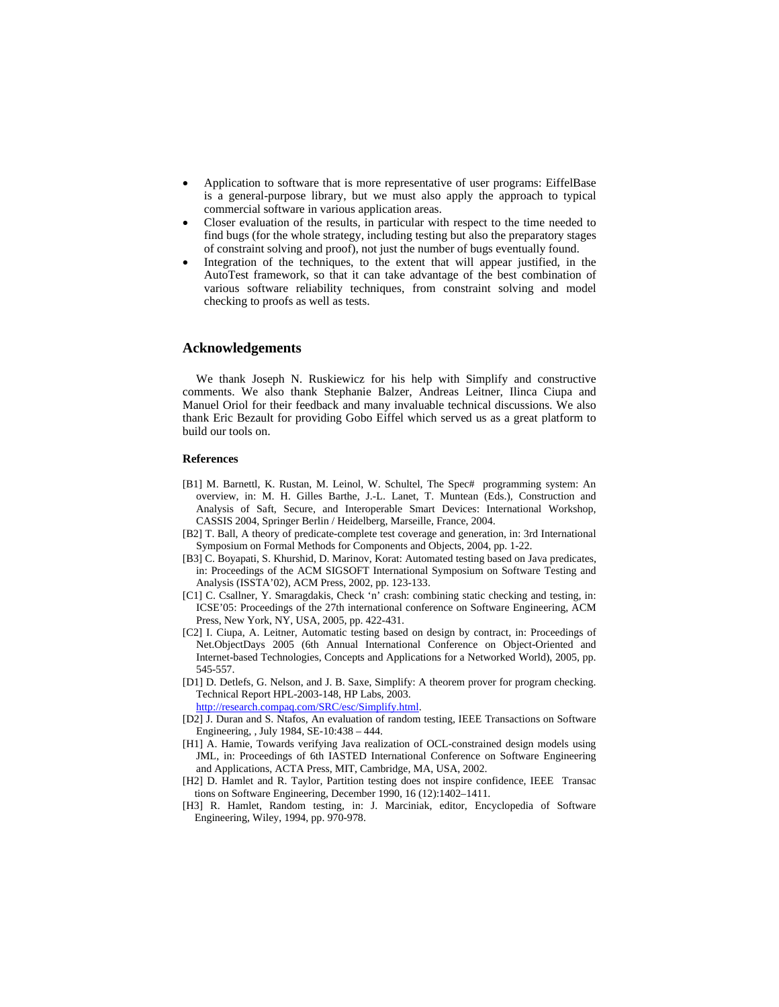- Application to software that is more representative of user programs: EiffelBase is a general-purpose library, but we must also apply the approach to typical commercial software in various application areas.
- Closer evaluation of the results, in particular with respect to the time needed to find bugs (for the whole strategy, including testing but also the preparatory stages of constraint solving and proof), not just the number of bugs eventually found.
- Integration of the techniques, to the extent that will appear justified, in the AutoTest framework, so that it can take advantage of the best combination of various software reliability techniques, from constraint solving and model checking to proofs as well as tests.

### **Acknowledgements**

We thank Joseph N. Ruskiewicz for his help with Simplify and constructive comments. We also thank Stephanie Balzer, Andreas Leitner, Ilinca Ciupa and Manuel Oriol for their feedback and many invaluable technical discussions. We also thank Eric Bezault for providing Gobo Eiffel which served us as a great platform to build our tools on.

#### **References**

- [B1] M. Barnettl, K. Rustan, M. Leinol, W. Schultel, The Spec# programming system: An overview, in: M. H. Gilles Barthe, J.-L. Lanet, T. Muntean (Eds.), Construction and Analysis of Saft, Secure, and Interoperable Smart Devices: International Workshop, CASSIS 2004, Springer Berlin / Heidelberg, Marseille, France, 2004.
- [B2] T. Ball, A theory of predicate-complete test coverage and generation, in: 3rd International Symposium on Formal Methods for Components and Objects, 2004, pp. 1-22.
- [B3] C. Boyapati, S. Khurshid, D. Marinov, Korat: Automated testing based on Java predicates, in: Proceedings of the ACM SIGSOFT International Symposium on Software Testing and Analysis (ISSTA'02), ACM Press, 2002, pp. 123-133.
- [C1] C. Csallner, Y. Smaragdakis, Check 'n' crash: combining static checking and testing, in: ICSE'05: Proceedings of the 27th international conference on Software Engineering, ACM Press, New York, NY, USA, 2005, pp. 422-431.
- [C2] I. Ciupa, A. Leitner, Automatic testing based on design by contract, in: Proceedings of Net.ObjectDays 2005 (6th Annual International Conference on Object-Oriented and Internet-based Technologies, Concepts and Applications for a Networked World), 2005, pp. 545-557.
- [D1] D. Detlefs, G. Nelson, and J. B. Saxe, Simplify: A theorem prover for program checking. Technical Report HPL-2003-148, HP Labs, 2003.
- http://research.compaq.com/SRC/esc/Simplify.html.
- [D2] J. Duran and S. Ntafos, An evaluation of random testing, IEEE Transactions on Software Engineering, , July 1984, SE-10:438 – 444.
- [H1] A. Hamie, Towards verifying Java realization of OCL-constrained design models using JML, in: Proceedings of 6th IASTED International Conference on Software Engineering and Applications, ACTA Press, MIT, Cambridge, MA, USA, 2002.
- [H2] D. Hamlet and R. Taylor, Partition testing does not inspire confidence, IEEE Transac tions on Software Engineering, December 1990, 16 (12):1402–1411.
- [H3] R. Hamlet, Random testing, in: J. Marciniak, editor, Encyclopedia of Software Engineering, Wiley, 1994, pp. 970-978.